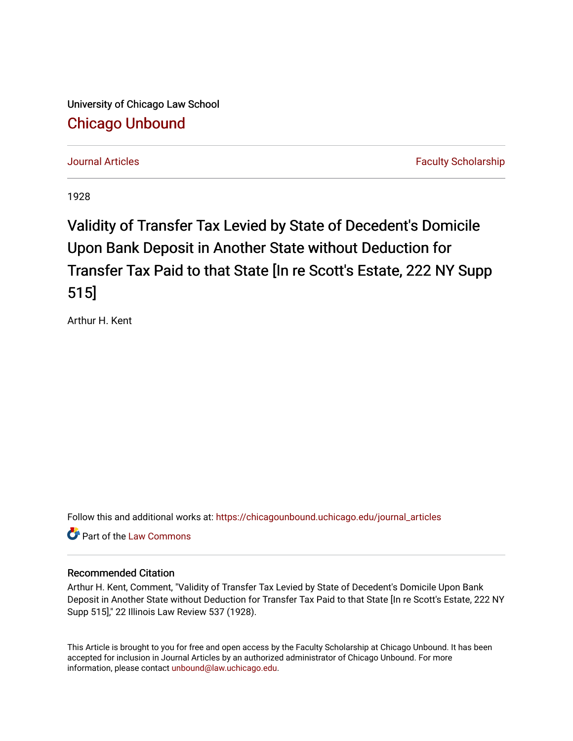University of Chicago Law School [Chicago Unbound](https://chicagounbound.uchicago.edu/)

[Journal Articles](https://chicagounbound.uchicago.edu/journal_articles) [Faculty Scholarship](https://chicagounbound.uchicago.edu/faculty_scholarship) Faculty Scholarship

1928

## Validity of Transfer Tax Levied by State of Decedent's Domicile Upon Bank Deposit in Another State without Deduction for Transfer Tax Paid to that State [In re Scott's Estate, 222 NY Supp 515]

Arthur H. Kent

Follow this and additional works at: [https://chicagounbound.uchicago.edu/journal\\_articles](https://chicagounbound.uchicago.edu/journal_articles?utm_source=chicagounbound.uchicago.edu%2Fjournal_articles%2F9581&utm_medium=PDF&utm_campaign=PDFCoverPages) 

**C** Part of the [Law Commons](http://network.bepress.com/hgg/discipline/578?utm_source=chicagounbound.uchicago.edu%2Fjournal_articles%2F9581&utm_medium=PDF&utm_campaign=PDFCoverPages)

## Recommended Citation

Arthur H. Kent, Comment, "Validity of Transfer Tax Levied by State of Decedent's Domicile Upon Bank Deposit in Another State without Deduction for Transfer Tax Paid to that State [In re Scott's Estate, 222 NY Supp 515]," 22 Illinois Law Review 537 (1928).

This Article is brought to you for free and open access by the Faculty Scholarship at Chicago Unbound. It has been accepted for inclusion in Journal Articles by an authorized administrator of Chicago Unbound. For more information, please contact [unbound@law.uchicago.edu](mailto:unbound@law.uchicago.edu).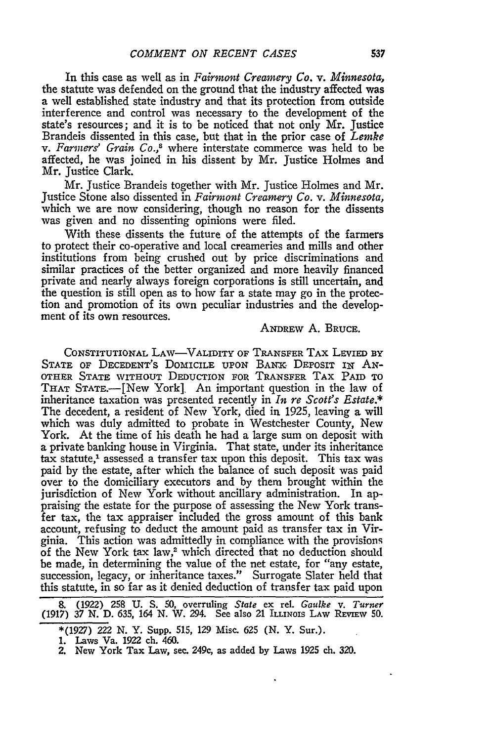In this case as well as in *Fairmont Creamery Co. v. Minnesota,* the statute was defended on the ground that the industry affected was a well established state industry and that its protection from outside interference and control was necessary to the development of the state's resources; and it is to be noticed that not only Mr. Justice Brandeis dissented in this case, but that in the prior case of *Lemke* v. Farmers' Grain Co.,<sup>8</sup> where interstate commerce was held to be affected, he was joined in his dissent **by** Mr. Justice Holmes and Mr. Justice Clark.

Mr. Justice Brandeis together with Mr. Justice Holmes and Mr. Justice Stone also dissented in *Fairmont Creamery Co. v. Minnesota,* which we are now considering, though no reason for the dissents was given and no dissenting opinions were filed.

With these dissents the future of the attempts of the farmers to protect their co-operative and local creameries and mills and other institutions from being crushed out **by** price discriminations and similar practices of the better organized and more heavily financed private and nearly always foreign corporations is still uncertain, and the question is still open as to how far a state may go in the protection and promotion of its own peculiar industries and the development of its own resources.

## ANDREW **A.** BRUCE.

CONSTITUTIONAL LAW-VALIDITY OF TRANSFER TAX LEVIED **BY** STATE OF DECEDENT'S DOMICILE UPON BANK DEPOSIT IN AN-OTHER **STATE** WITHOUT **DEDUCTION** FOR TRANSFER TAX **PAID** TO THAT STATE.-[New York], An important question in the law of inheritance taxation was presented recently in *In re Scott's Estate.\** The decedent, a resident of New York, died in 1925, leaving a will which was duly admitted to probate in Westchester County, New York. At the time of his death he had a large sum on deposit with a private banking house in Virginia. That state, under its inheritance tax statute,<sup>1</sup> assessed a transfer tax upon this deposit. This tax was paid **by** the estate, after which the balance of such deposit was paid over to the domiciliary executors and **by** them brought within the jurisdiction of New York without ancillary administration. In appraising the estate for the purpose of assessing the New York transfer tax, the tax appraiser included the gross amount of this bank account, refusing to deduct the amount paid as transfer tax in Virginia. This action was admittedly in compliance with the provisions of the New York tax law,<sup>2</sup> which directed that no deduction should be made, in determining the value of the net estate, for "any estate, succession, legacy, or inheritance taxes." Surrogate Slater held that this statute, in so far as it denied deduction of transfer tax paid upon

**<sup>8.</sup>** (1922) 258 **U. S. 50,** overruling *State* ex rel. *Gaulke v. Turner* (1917) 37 N. D. 635, 164 N. W. 294. See also 21 ILLINOIS LAW REVIEW 50.

<sup>\*(1927) 222</sup> N. Y. Supp. 515, 129 Misc. 625 (N. Y. Sur.).

<sup>1.</sup> Laws Va. 1922 ch. 460.

<sup>2.</sup> New York Tax Law, see. 249c, as added **by** Laws **1925 ch.** 320.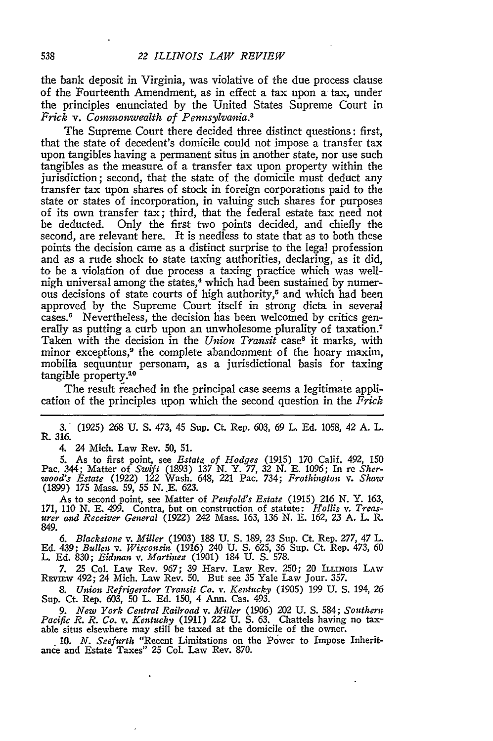the bank deposit in Virginia, was violative of the due process clause of the Fourteenth Amendment, as in effect a tax upon a tax, under the principles enunciated by the United States Supreme Court in *Frick v. Commonwealth of Pennsylvania.3*

The Supreme Court there decided three distinct questions: first, that the state of decedent's domicile could not impose a transfer tax upon tangibles having a permanent situs in another state, nor use such tangibles as the measure of a transfer tax upon property within the jurisdiction; second, that the state of the domicile must deduct any transfer tax upon shares of stock in foreign corporations paid to the state or states of incorporation, in valuing such shares for purposes of its own transfer tax; third, that the federal estate tax need not be deducted. Only the first two points decided, and chiefly the second, are relevant here. It is needless to state that as to both these points the decision came as a distinct surprise to the legal profession and as a rude shock to state taxing authorities, declaring, as it did, to be a violation of due process a taxing practice which was wellnigh universal among the states,<sup>4</sup> which had been sustained by numerous decisions of state courts of high authority,<sup>5</sup> and which had been approved by the Supreme Court itself in strong dicta in several cases.6 Nevertheless, the decision has been welcomed by critics generally as putting a curb upon an unwholesome plurality of taxation.<sup>7</sup> Taken with the decision in the *Union Transit* case<sup>s</sup> it marks, with minor exceptions,<sup>9</sup> the complete abandonment of the hoary maxim, mobilia sequuntur personam, as a jurisdictional basis for taxing tangible property.<sup>10</sup>

The result reached in the principal case seems a legitimate application of the principles upon which the second question in the *Prick*

3. (1925) 268 U. S. 473, 45 Sup. Ct. Rep. 603, *69* L. Ed. 1058, 42 A. L. R. 316.

4. 24 Mich. Law Rev. 50, 51.

5. As to first point, see *Estate of Hodges* (1915) 170 Calif. 492, 150 Pac. 344; Matter of *Swift* (1893) 137 N. Y. 77, 32 N. E. 1096; In re *Sherwood's Estate* (1922) 122 Wash. 648, 221 Pac. 734; *Prothington v. Shaw* (1899) **175** Mass. 59, 55 N..E. 623.

As to second point, see Matter of *Penfold's Estate* (1915) 216 N. Y. 163, 171, 110 N. E. 499. Contra, but on construction of statute: *Hollis v. Treas- urer and Receiver General* (1922) 242 Mass. 163, 136 N. E. 162, *2,3* A. L. R. 849.

*6. Blackstone v. Miller* (1903) 188 U. S. 189, 23 Sup. Ct. Rep. 277, 47 L. Ed. 439; *Bullen v. Wisconsin* (1916) 240 U. S. 625, 36 Sup. Ct. Rep. 473, 60 L. **Ed.** 830; *Eidinan v. Martines* (1901) 184 U. **S.** 578.

7. 25 Col. Law Rev. 967; 39 Harv. Law Rev. 250; 20 ILLINOIS LAW REVIEw 492; 24 Mich. Law Rev. **50.** But see 35 Yale Law Jour. 357.

*8. Union Refrigerator Transit Co. v. Kentucky* (1905) *199* U. **S.** 194, *26* Sup. Ct. Rep. 603, **50** L. Ed. 150, 4 Ann. Cas. 493.

*9. New York Central Railroad v. Miller* (1906) 202 U. S. 584; *Southern Pacific R. R. Co. v. Kentucky* (1911) 222 U. S. 63. Chattels having no taxable situs elsewhere may still be taxed at the domicile of the owner.

10. *N. Seefurth* "Recent Limitations on the Power to Impose Inherit- ance and Estate Taxes" 25 Col. Law Rev. 870.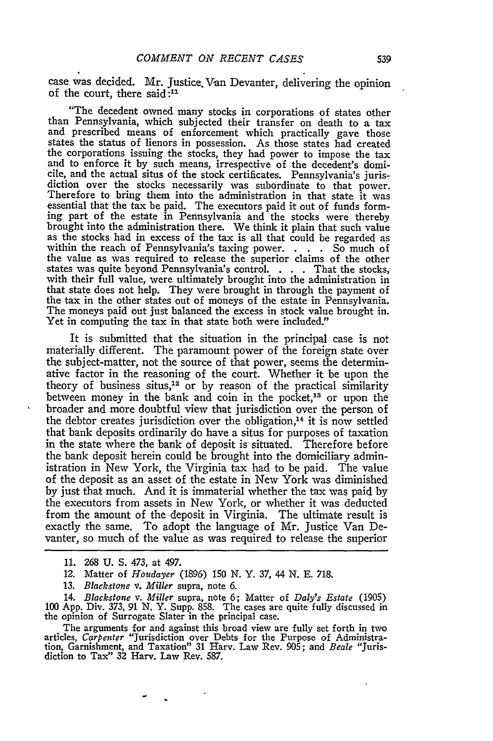case was decided. Mr. Justice. Van Devanter, delivering the opinion of the court, there said **:11**

"The decedent owned many stocks in corporations of states other than Pennsylvania, which subjected their transfer on death to a tax and prescribed means of enforcement which practically gave those states the status of lienors in possession. As those states had created the corporations issuing the stocks, they had power to impose the tax and to enforce it by such means, irrespective of the decedent's domicile, and the actual situs of the stock certificates. Pennsylvania's juris- diction over the stocks necessarily was subordinate to that power. Therefore to bring them into the administration in that state it was essential that the tax be paid. The executors paid it out of funds form-<br>ing part of the estate in Pennsylvania and the stocks were thereby brought into the administration there. We think it plain that such value as the stocks had in excess of the tax is all that could be regarded as within the reach of Pennsylvania's taxing power. . **.** . So much of the value as was required to release the superior claims of the other states was quite beyond Pennsylvania's control. . **.** . That the stocks, with their full value, were ultimately brought into the administration in that state does not help. They were brought in through the payment of the tax in the other states out of moneys of the estate in Pennsylvania. The moneys paid out just balanced the excess in stock value brought in. Yet in computing the tax in that state both were included."

It is submitted that the situation in the principal case is not materially different. The paramount power of the foreign state over the subject-matter, not the source of that power, seems the determinative factor in the reasoning of the court. Whether it be upon the theory of business situs,<sup>12</sup> or by reason of the practical similarity between money in the bank and coin in the pocket,<sup>13</sup> or upon the broader and more doubtful view that jurisdiction over the person of the debtor creates jurisdiction over the obligation,<sup>14</sup> it is now settled that bank deposits ordinarily do have a situs for purposes of taxation in the state where the bank of deposit is situated. Therefore before the bank deposit herein could be brought into the domiciliary administration in New York, the Virginia tax had to be paid. The value of the deposit as an asset of the estate in New York was diminished by just that much. And it is immaterial whether the tax was paid by the executors from assets in New York, or whether it was deducted from the amount of the deposit in Virginia. The ultimate result is exactly the same. To adopt the language of Mr. Justice Van Devanter, so much of the value as was required to release the superior

14. *Blackstone v. Miller* supra, note 6; Matter of *Daly's Estate* (1905) 100 App. Div. 373, *91* N. Y. Supp. 858. The cases are quite fully discussed in the opinion of Surrogate Slater in the principal case.

The arguments for and against this broad view are fully set forth in two articles, *Carpenter* "Jurisdiction over Debts for the Purpose of Administration, Garnishment, and Taxation" 31 Harv. Law Rev. 905; and *Beale* "Juris-diction to Tax" 32 Harv. Law Rev. 587.

<sup>11.</sup> **268 U. S.** 473, at 497.

<sup>12.</sup> Matter of *Houdayer* (1896) 150 N. Y. 37, 44 N. E. 718.

<sup>13.</sup> *Blackstone v. Miller* supra, note 6.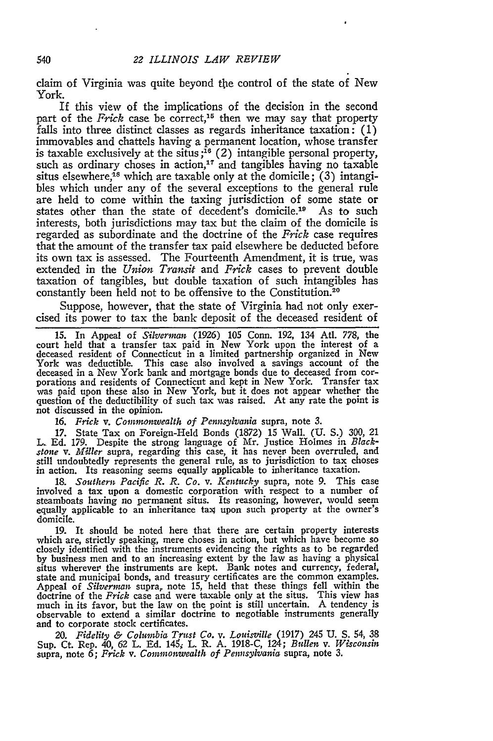claim of Virginia was quite beyond the control of the state of New York.

If this view of the implications of the decision in the second part of the *Frick* case be correct,<sup>15</sup> then we may say that property falls into three distinct classes as regards inheritance taxation: (1) immovables and chattels having a permanent location, whose transfer is taxable exclusively at the situs **;'o** (2) intangible personal property, such as ordinary choses in action, $17$  and tangibles having no taxable situs elsewhere,<sup>18</sup> which are taxable only at the domicile; (3) intangibles which under any of the several exceptions to the general rule are held to come within the taxing jurisdiction of some state or states other than the state of decedent's domicile.<sup>19</sup> As to such states other than the state of decedent's domicile.<sup>19</sup> interests, both jurisdictions may tax but the claim of the domicile is regarded as subordinate and the doctrine of the *Frick* case requires that the amount of the transfer tax paid elsewhere be deducted before its own tax is assessed. The Fourteenth Amendment, it is true, was extended in the *Union Transit* and *Frick* cases to prevent double taxation of tangibles, but double taxation of such intangibles has constantly been held not to be offensive to the Constitution. <sup>20</sup>

Suppose, however, that the state of Virginia had not only exercised its power to tax the bank deposit of the deceased resident of

**15.** In Appeal of *Silverman* (1926) 105 Conn. 192, 134 Atl. 778, the court held that a transfer tax paid in New York upon the interest of a deceased resident of Connecticut in a limited partnership organized in New York was deductible. This case also involved a savings account of the deceased in a New York bank and mortgage bonds due to deceased from cor- porations and residents of Connecticut and kept in New York. Transfer tax was paid upon these also in New York, but it does not appear whether the was paid upon these also in New York, but it does not appear whether the question of the deductibility of such tax was raised. At any rate the point is not discussed in the opinion.

**16.** *Prick v. Commonwealth of Pennsylvania* supra, note **3.**

17. State Tax on Foreign-Held Bonds (1872) 15 Wall. (U. S.) 300, 21 L. Ed. 179. Despite the strong language of Mr. Justice Holmes in *Black*stone *v. Miller* supra, regarding this case, it has never been overruled, and still undoubtedly represents the general rule, as to jurisdiction to tax choses in action. Its reasoning seems equally applicable to inheritance taxation.

18. *Southern Pacific R. R. Co. v. Kentucky* supra, note 9. This case involved a tax upon a domestic corporation with respect to a number of steamboats having no permanent situs. Its reasoning, however, would seem equally applicable to an inheritance tag upon such property at the owner's domicile.

**19.** It should be noted here that there are certain property interests which are, strictly speaking, mere choses in action, but which have become so closely identified with the instruments evidencing the rights as to be regarded **by** business men and to an increasing extent **by** the law as having a physical situs wherever the instruments are kept. Bank notes and currency, federal, state and municipal bonds, and treasury certificates are the common examples.<br>Appeal of *Silverman* supra, note 15, held that these things fell wit doctrine of the *Prick* case and were taxable only at the situs. This view has much in its favor, but the law on the point is still uncertain. **A** tendency is observable to extend a similar doctrine to negotiable instruments generally and to corporate stock certificates.

*20. Fidelity & Columbia Trust Co. v. Louisville* (1917) 245 **U. S.** 54, **38** Sup. Ct. Rep. 40, 62 L. Ed. 145; L. R. A. 1918-C, 124; *Bullen v. Wisconsin* supra, note **6;** *Prick v. Commonwealth of Pennsylvania* supra, note 3.